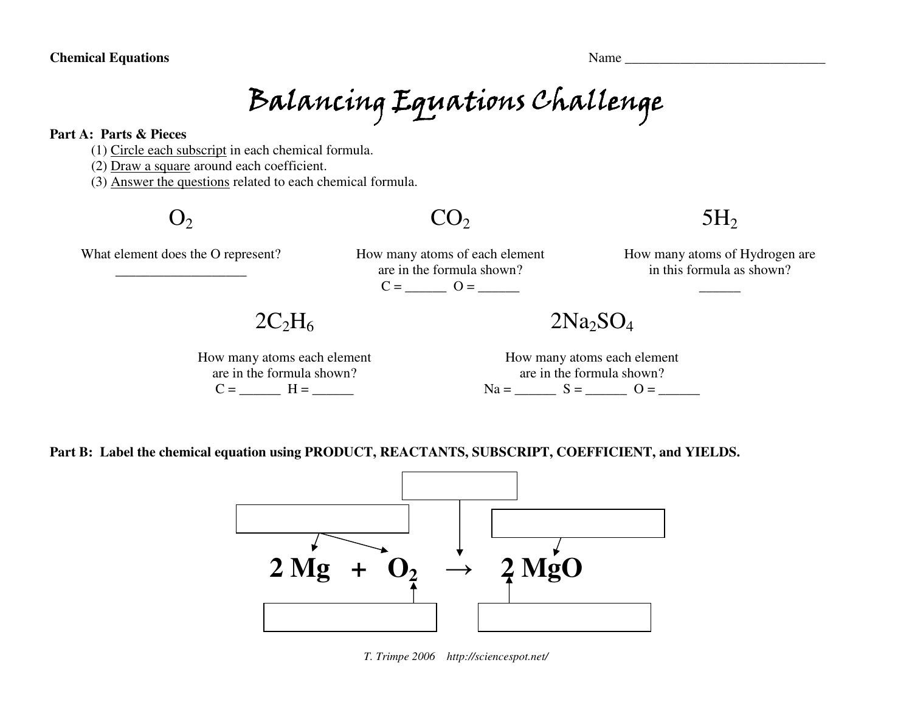# Balancing Equations Challenge

#### **Part A: Parts & Pieces**

(1) Circle each subscript in each chemical formula.

(2) Draw a square around each coefficient.

(3) Answer the questions related to each chemical formula.

 $O<sub>2</sub>$ 

### $CO<sub>2</sub>$

## $5H<sub>2</sub>$

What element does the O represent? \_\_\_\_\_\_\_\_\_\_\_\_\_\_\_\_\_\_\_

How many atoms of each element are in the formula shown?  $C =$   $Q =$ 

How many atoms of Hydrogen are in this formula as shown?

\_\_\_\_\_\_

 $2C_2H_6$ 

How many atoms each element are in the formula shown?  $C =$   $H =$   $\frac{C}{C}$ 

 $2Na<sub>2</sub>SO<sub>4</sub>$ 

How many atoms each element are in the formula shown?  $Na =$   $S =$   $O =$   $\overline{\phantom{a}}$ 

**Part B: Label the chemical equation using PRODUCT, REACTANTS, SUBSCRIPT, COEFFICIENT, and YIELDS.** 



*T. Trimpe 2006 http://sciencespot.net/*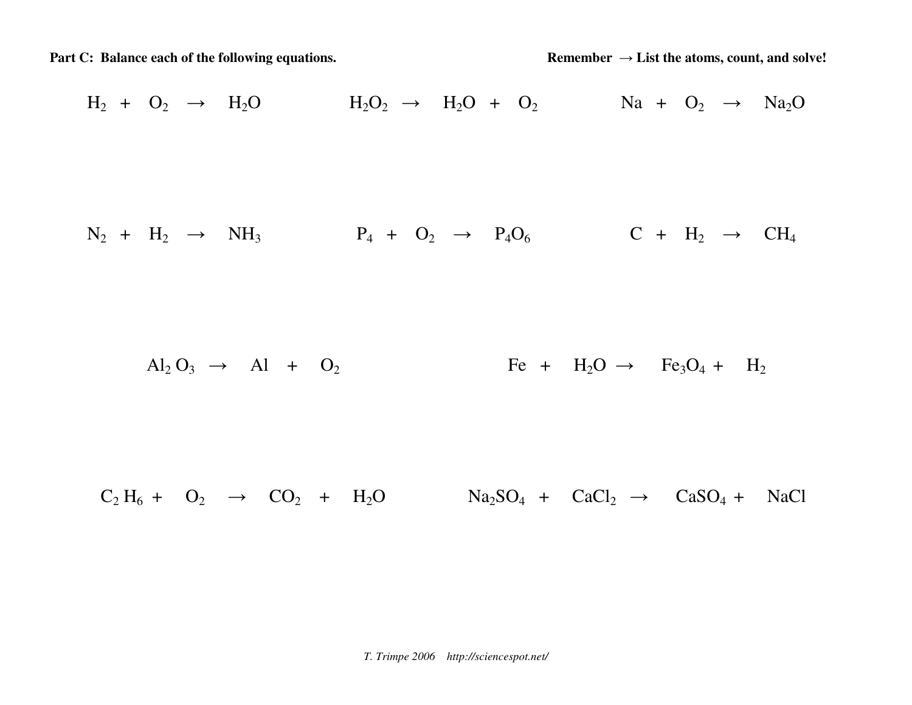Part C: Balance each of the following equations. Remember → List the atoms, count, and solve!

$$
H_2 + O_2 \rightarrow H_2O
$$
\n
$$
H_2O_2 \rightarrow H_2O + O_2
$$
\n
$$
Na + O_2 \rightarrow Na_2O
$$
\n
$$
N_2 + H_2 \rightarrow NH_3
$$
\n
$$
P_4 + O_2 \rightarrow P_4O_6
$$
\n
$$
C + H_2 \rightarrow CH_4
$$
\n
$$
Al_2O_3 \rightarrow Al + O_2
$$
\n
$$
Fe + H_2O \rightarrow Fe_3O_4 + H_2
$$
\n
$$
C_2H_6 + O_2 \rightarrow CO_2 + H_2O
$$
\n
$$
Na_2SO_4 + CaCl_2 \rightarrow CaSO_4 + NaCl
$$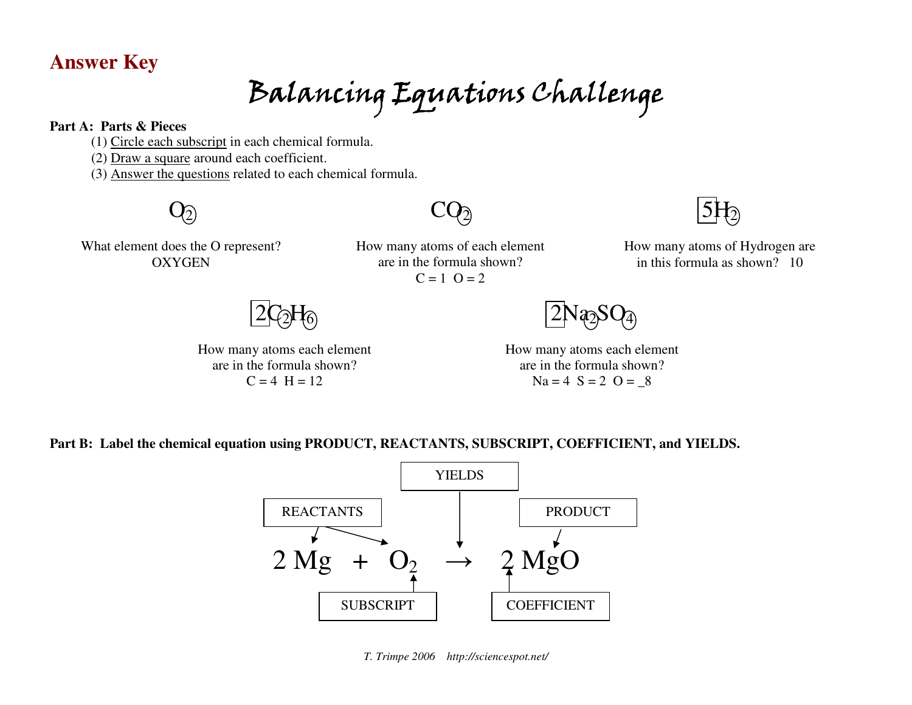### **Answer Key**

Balancing Equations Challenge

#### **Part A: Parts & Pieces**

- (1) Circle each subscript in each chemical formula.
- (2) Draw a square around each coefficient.
- (3) Answer the questions related to each chemical formula.



What element does the O represent? **OXYGEN** 

How many atoms of each element are in the formula shown?  $C = 1$   $Q = 2$ 

 $\mathrm{CQ}_{\widehat{2}}$ 



How many atoms of Hydrogen are in this formula as shown? 10

 $2\mathrm{C_2H_6}$ 

How many atoms each element are in the formula shown?  $C = 4$  H = 12



How many atoms each element are in the formula shown?  $Na = 4$   $S = 2$   $O = 8$ 

**Part B: Label the chemical equation using PRODUCT, REACTANTS, SUBSCRIPT, COEFFICIENT, and YIELDS.** 



*T. Trimpe 2006 http://sciencespot.net/*